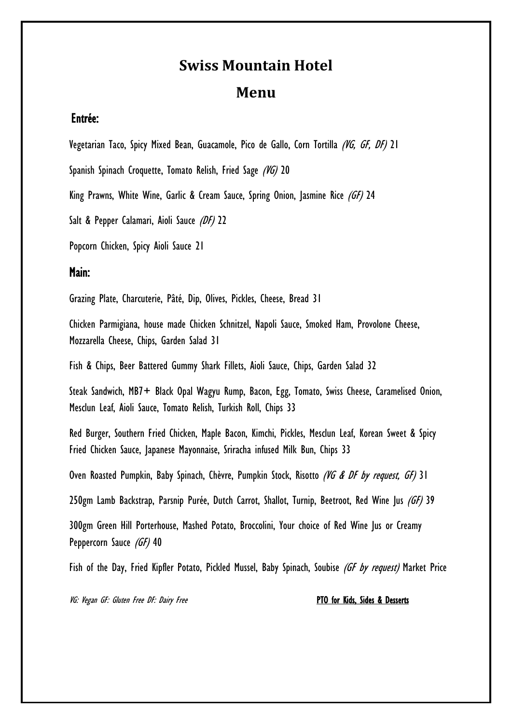# **Swiss Mountain Hotel Menu**

## Entrée:

Vegetarian Taco, Spicy Mixed Bean, Guacamole, Pico de Gallo, Corn Tortilla (VG, GF, DF) 21

Spanish Spinach Croquette, Tomato Relish, Fried Sage (VG) 20

King Prawns, White Wine, Garlic & Cream Sauce, Spring Onion, Jasmine Rice (GF) 24

Salt & Pepper Calamari, Aioli Sauce (DF) 22

Popcorn Chicken, Spicy Aioli Sauce 21

### Main:

Grazing Plate, Charcuterie, Pâté, Dip, Olives, Pickles, Cheese, Bread 31

Chicken Parmigiana, house made Chicken Schnitzel, Napoli Sauce, Smoked Ham, Provolone Cheese, Mozzarella Cheese, Chips, Garden Salad 31

Fish & Chips, Beer Battered Gummy Shark Fillets, Aioli Sauce, Chips, Garden Salad 32

Steak Sandwich, MB7+ Black Opal Wagyu Rump, Bacon, Egg, Tomato, Swiss Cheese, Caramelised Onion, Mesclun Leaf, Aioli Sauce, Tomato Relish, Turkish Roll, Chips 33

Red Burger, Southern Fried Chicken, Maple Bacon, Kimchi, Pickles, Mesclun Leaf, Korean Sweet & Spicy Fried Chicken Sauce, Japanese Mayonnaise, Sriracha infused Milk Bun, Chips 33

Oven Roasted Pumpkin, Baby Spinach, Chèvre, Pumpkin Stock, Risotto (VG & DF by request, GF) 31

250gm Lamb Backstrap, Parsnip Purée, Dutch Carrot, Shallot, Turnip, Beetroot, Red Wine Jus (GF) 39

300gm Green Hill Porterhouse, Mashed Potato, Broccolini, Your choice of Red Wine Jus or Creamy Peppercorn Sauce (GF) 40

Fish of the Day, Fried Kipfler Potato, Pickled Mussel, Baby Spinach, Soubise (GF by request) Market Price

VG: Vegan GF: Gluten Free DF: Dairy Free **PTO for States & Desserts**